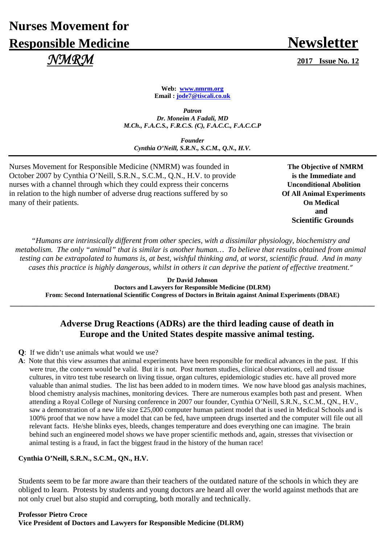# **Nurses Movement for Responsible Medicine Newsletter**  *NMRM* **2017 Issue No. 12**

**Web: www.nmrm.org Email : jode7@tiscali.co.uk** 

*Patron Dr. Moneim A Fadali, MD M.Ch., F.A.C.S., F.R.C.S. (C), F.A.C.C., F.A.C.C.P* 

*Founder Cynthia O'Neill, S.R.N., S.C.M., Q.N., H.V.*

Nurses Movement for Responsible Medicine (NMRM) was founded in **The Objective of NMRM** October 2007 by Cynthia O'Neill, S.R.N., S.C.M., Q.N., H.V. to provide **is the Immediate and** nurses with a channel through which they could express their concerns **Unconditional Abolition** in relation to the high number of adverse drug reactions suffered by so **Of All Animal Experiments** many of their patients. **On Medical** 

**and and and Scientific Grounds** 

*"Humans are intrinsically different from other species, with a dissimilar physiology, biochemistry and metabolism. The only "animal" that is similar is another human… To believe that results obtained from animal testing can be extrapolated to humans is, at best, wishful thinking and, at worst, scientific fraud. And in many cases this practice is highly dangerous, whilst in others it can deprive the patient of effective treatment."*

**Dr David Johnson Doctors and Lawyers for Responsible Medicine (DLRM) From: Second International Scientific Congress of Doctors in Britain against Animal Experiments (DBAE)** 

**\_\_\_\_\_\_\_\_\_\_\_\_\_\_\_\_\_\_\_\_\_\_\_\_\_\_\_\_\_\_\_\_\_\_\_\_\_\_\_\_\_\_\_\_\_\_\_\_\_\_\_\_\_\_\_\_\_\_\_\_\_\_\_\_\_\_\_\_\_\_\_\_\_\_\_\_\_\_\_\_\_\_\_\_\_\_\_\_\_\_\_\_\_\_**

# **Adverse Drug Reactions (ADRs) are the third leading cause of death in Europe and the United States despite massive animal testing.**

- **Q**: If we didn't use animals what would we use?
- **A**: Note that this view assumes that animal experiments have been responsible for medical advances in the past. If this were true, the concern would be valid. But it is not. Post mortem studies, clinical observations, cell and tissue cultures, in vitro test tube research on living tissue, organ cultures, epidemiologic studies etc. have all proved more valuable than animal studies. The list has been added to in modern times. We now have blood gas analysis machines, blood chemistry analysis machines, monitoring devices. There are numerous examples both past and present. When attending a Royal College of Nursing conference in 2007 our founder, Cynthia O'Neill, S.R.N., S.C.M., QN., H.V., saw a demonstration of a new life size £25,000 computer human patient model that is used in Medical Schools and is 100% proof that we now have a model that can be fed, have umpteen drugs inserted and the computer will file out all relevant facts. He/she blinks eyes, bleeds, changes temperature and does everything one can imagine. The brain behind such an engineered model shows we have proper scientific methods and, again, stresses that vivisection or animal testing is a fraud, in fact the biggest fraud in the history of the human race!

#### **Cynthia O'Neill, S.R.N., S.C.M., QN., H.V.**

Students seem to be far more aware than their teachers of the outdated nature of the schools in which they are obliged to learn. Protests by students and young doctors are heard all over the world against methods that are not only cruel but also stupid and corrupting, both morally and technically.

**Professor Pietro Croce Vice President of Doctors and Lawyers for Responsible Medicine (DLRM)**